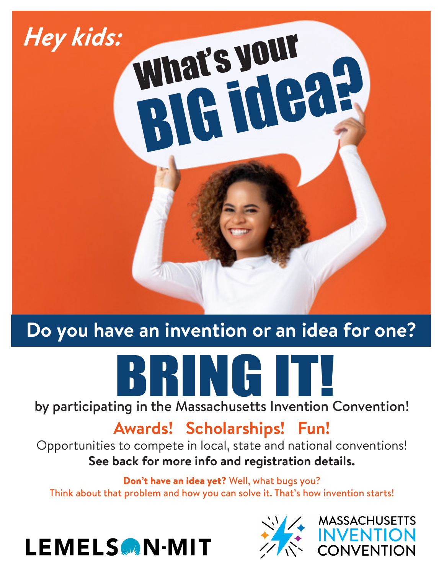

## **Do you have an invention or an idea for one?**



## **Awards! Scholarships! Fun!**

Opportunities to compete in local, state and national conventions! **See back for more info and registration details.** 

Don't have an idea yet? Well, what bugs you? Think about that problem and how you can solve it. That's how invention starts!